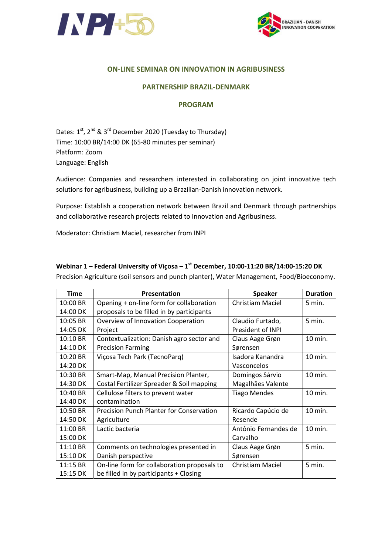



### ON-LINE SEMINAR ON INNOVATION IN AGRIBUSINESS

### PARTNERSHIP BRAZIL-DENMARK

#### PROGRAM

Dates:  $1^{st}$ ,  $2^{nd}$  &  $3^{rd}$  December 2020 (Tuesday to Thursday) Time: 10:00 BR/14:00 DK (65-80 minutes per seminar) Platform: Zoom Language: English

Audience: Companies and researchers interested in collaborating on joint innovative tech solutions for agribusiness, building up a Brazilian-Danish innovation network.

Purpose: Establish a cooperation network between Brazil and Denmark through partnerships and collaborative research projects related to Innovation and Agribusiness.

Moderator: Christiam Maciel, researcher from INPI

| <b>Time</b> | Presentation                                    | <b>Speaker</b>          | <b>Duration</b> |
|-------------|-------------------------------------------------|-------------------------|-----------------|
| 10:00 BR    | Opening + on-line form for collaboration        | <b>Christiam Maciel</b> | 5 min.          |
| 14:00 DK    | proposals to be filled in by participants       |                         |                 |
| 10:05 BR    | Overview of Innovation Cooperation              | Claudio Furtado,        | 5 min.          |
| 14:05 DK    | Project                                         | President of INPI       |                 |
| $10:10$ BR  | Contextualization: Danish agro sector and       | Claus Aage Grøn         | 10 min.         |
| 14:10 DK    | <b>Precision Farming</b>                        | Sørensen                |                 |
| $10:20$ BR  | Viçosa Tech Park (TecnoParq)                    | Isadora Kanandra        | 10 min.         |
| 14:20 DK    |                                                 | Vasconcelos             |                 |
| 10:30 BR    | Smart-Map, Manual Precision Planter,            | Domingos Sárvio         | 10 min.         |
| 14:30 DK    | Costal Fertilizer Spreader & Soil mapping       | Magalhães Valente       |                 |
| 10:40 BR    | Cellulose filters to prevent water              | <b>Tiago Mendes</b>     | 10 min.         |
| 14:40 DK    | contamination                                   |                         |                 |
| 10:50 BR    | <b>Precision Punch Planter for Conservation</b> | Ricardo Capúcio de      | 10 min.         |
| 14:50 DK    | Agriculture                                     | Resende                 |                 |
| 11:00 BR    | Lactic bacteria                                 | Antônio Fernandes de    | 10 min.         |
| 15:00 DK    |                                                 | Carvalho                |                 |
| 11:10 BR    | Comments on technologies presented in           | Claus Aage Grøn         | 5 min.          |
| 15:10 DK    | Danish perspective                              | Sørensen                |                 |
| 11:15 BR    | On-line form for collaboration proposals to     | <b>Christiam Maciel</b> | $5$ min.        |
| 15:15 DK    | be filled in by participants + Closing          |                         |                 |

Precision Agriculture (soil sensors and punch planter), Water Management, Food/Bioeconomy.

Webinar 1 – Federal University of Viçosa –  $1<sup>st</sup>$  December, 10:00-11:20 BR/14:00-15:20 DK